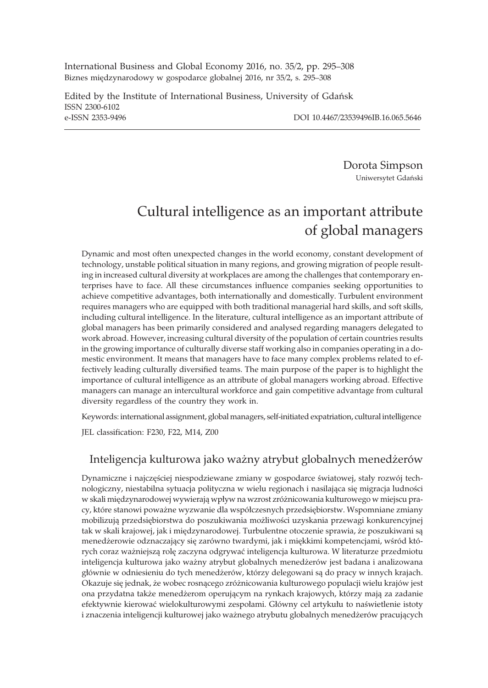International Business and Global Economy 2016, no. 35/2, pp. 295–308 Biznes międzynarodowy w gospodarce globalnej 2016, nr 35/2, s. 295–308

Edited by the Institute of International Business, University of Gdañsk ISSN 2300-6102 e-ISSN 2353-9496 DOI 10.4467/23539496IB.16.065.5646

Dorota Simpson Uniwersytet Gdañski

# Cultural intelligence as an important attribute of global managers

Dynamic and most often unexpected changes in the world economy, constant development of technology, unstable political situation in many regions, and growing migration of people resulting in increased cultural diversity at workplaces are among the challenges that contemporary enterprises have to face. All these circumstances influence companies seeking opportunities to achieve competitive advantages, both internationally and domestically. Turbulent environment requires managers who are equipped with both traditional managerial hard skills, and soft skills, including cultural intelligence. In the literature, cultural intelligence as an important attribute of global managers has been primarily considered and analysed regarding managers delegated to work abroad. However, increasing cultural diversity of the population of certain countries results in the growing importance of culturally diverse staff working also in companies operating in a domestic environment. It means that managers have to face many complex problems related to effectively leading culturally diversified teams. The main purpose of the paper is to highlight the importance of cultural intelligence as an attribute of global managers working abroad. Effective managers can manage an intercultural workforce and gain competitive advantage from cultural diversity regardless of the country they work in.

Keywords: international assignment, global managers, self-initiated expatriation, cultural intelligence

JEL classification: F230, F22, M14, Z00

#### Inteligencja kulturowa jako ważny atrybut globalnych menedżerów

Dynamiczne i najczęściej niespodziewane zmiany w gospodarce światowej, stały rozwój technologiczny, niestabilna sytuacja polityczna w wielu regionach i nasilająca się migracja ludności w skali międzynarodowej wywierają wpływ na wzrost zróżnicowania kulturowego w miejscu pracy, które stanowi poważne wyzwanie dla współczesnych przedsiębiorstw. Wspomniane zmiany mobilizują przedsiębiorstwa do poszukiwania możliwości uzyskania przewagi konkurencyjnej tak w skali krajowej, jak i międzynarodowej. Turbulentne otoczenie sprawia, że poszukiwani są menedżerowie odznaczający się zarówno twardymi, jak i miękkimi kompetencjami, wśród których coraz ważniejszą rolę zaczyna odgrywać inteligencja kulturowa. W literaturze przedmiotu inteligencja kulturowa jako wa¿ny atrybut globalnych mened¿erów jest badana i analizowana głównie w odniesieniu do tych menedżerów, którzy delegowani są do pracy w innych krajach. Okazuje się jednak, że wobec rosnącego zróżnicowania kulturowego populacji wielu krajów jest ona przydatna także menedżerom operującym na rynkach krajowych, którzy mają za zadanie efektywnie kierować wielokulturowymi zespołami. Główny cel artykułu to naświetlenie istoty i znaczenia inteligencji kulturowej jako ważnego atrybutu globalnych menedżerów pracujących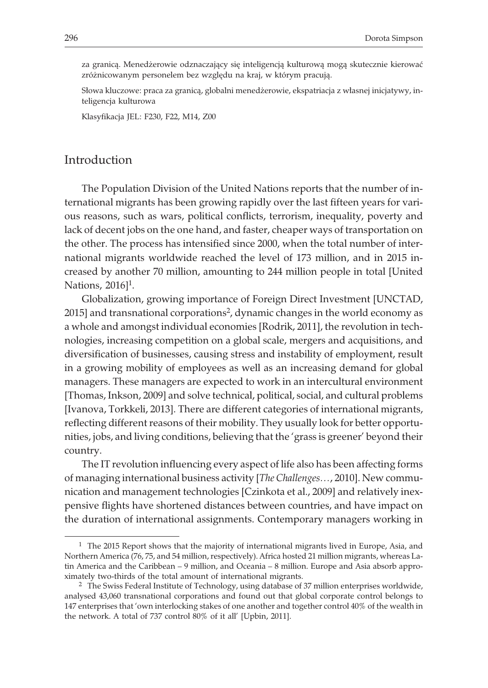za granicą. Menedżerowie odznaczający się inteligencją kulturową mogą skutecznie kierować zróżnicowanym personelem bez względu na kraj, w którym pracują.

Słowa kluczowe: praca za granicą, globalni menedżerowie, ekspatriacja z własnej inicjatywy, inteligencja kulturowa

Klasyfikacja JEL: F230, F22, M14, Z00

### Introduction

The Population Division of the United Nations reports that the number of international migrants has been growing rapidly over the last fifteen years for various reasons, such as wars, political conflicts, terrorism, inequality, poverty and lack of decent jobs on the one hand, and faster, cheaper ways of transportation on the other. The process has intensified since 2000, when the total number of international migrants worldwide reached the level of 173 million, and in 2015 increased by another 70 million, amounting to 244 million people in total [United Nations, 2016<sup>1</sup>.

Globalization, growing importance of Foreign Direct Investment [UNCTAD, 2015] and transnational corporations<sup>2</sup>, dynamic changes in the world economy as a whole and amongst individual economies [Rodrik, 2011], the revolution in technologies, increasing competition on a global scale, mergers and acquisitions, and diversification of businesses, causing stress and instability of employment, result in a growing mobility of employees as well as an increasing demand for global managers. These managers are expected to work in an intercultural environment [Thomas, Inkson, 2009] and solve technical, political, social, and cultural problems [Ivanova, Torkkeli, 2013]. There are different categories of international migrants, reflecting different reasons of their mobility. They usually look for better opportunities, jobs, and living conditions, believing that the 'grass is greener' beyond their country.

The IT revolution influencing every aspect of life also has been affecting forms of managing international business activity [*The Challenges…*, 2010]. New communication and management technologies [Czinkota et al., 2009] and relatively inexpensive flights have shortened distances between countries, and have impact on the duration of international assignments. Contemporary managers working in

 $1$  The 2015 Report shows that the majority of international migrants lived in Europe, Asia, and Northern America (76, 75, and 54 million, respectively). Africa hosted 21 million migrants, whereas Latin America and the Caribbean – 9 million, and Oceania – 8 million. Europe and Asia absorb approximately two-thirds of the total amount of international migrants.

<sup>&</sup>lt;sup>2</sup> The Swiss Federal Institute of Technology, using database of 37 million enterprises worldwide, analysed 43,060 transnational corporations and found out that global corporate control belongs to 147 enterprises that 'own interlocking stakes of one another and together control 40% of the wealth in the network. A total of 737 control 80% of it all' [Upbin, 2011].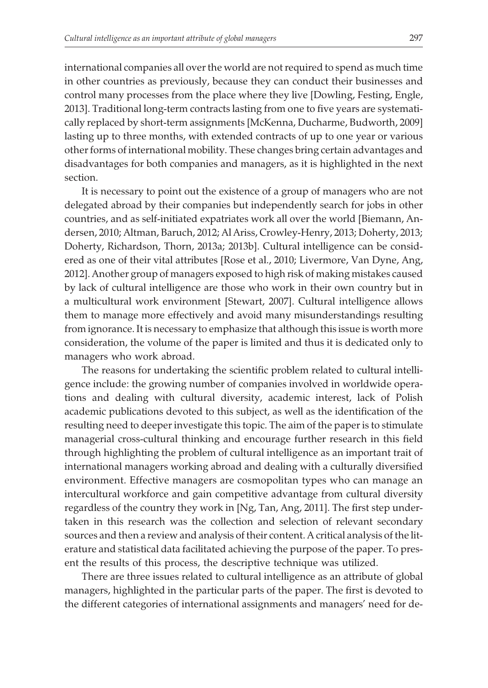international companies all over the world are not required to spend as much time in other countries as previously, because they can conduct their businesses and control many processes from the place where they live [Dowling, Festing, Engle, 2013]. Traditional long-term contracts lasting from one to five years are systematically replaced by short-term assignments [McKenna, Ducharme, Budworth, 2009] lasting up to three months, with extended contracts of up to one year or various other forms of international mobility. These changes bring certain advantages and disadvantages for both companies and managers, as it is highlighted in the next section.

It is necessary to point out the existence of a group of managers who are not delegated abroad by their companies but independently search for jobs in other countries, and as self-initiated expatriates work all over the world [Biemann, Andersen, 2010; Altman, Baruch, 2012; Al Ariss, Crowley-Henry, 2013; Doherty, 2013; Doherty, Richardson, Thorn, 2013a; 2013b]. Cultural intelligence can be considered as one of their vital attributes [Rose et al., 2010; Livermore, Van Dyne, Ang, 2012]. Another group of managers exposed to high risk of making mistakes caused by lack of cultural intelligence are those who work in their own country but in a multicultural work environment [Stewart, 2007]. Cultural intelligence allows them to manage more effectively and avoid many misunderstandings resulting from ignorance. It is necessary to emphasize that although this issue is worth more consideration, the volume of the paper is limited and thus it is dedicated only to managers who work abroad.

The reasons for undertaking the scientific problem related to cultural intelligence include: the growing number of companies involved in worldwide operations and dealing with cultural diversity, academic interest, lack of Polish academic publications devoted to this subject, as well as the identification of the resulting need to deeper investigate this topic. The aim of the paper is to stimulate managerial cross-cultural thinking and encourage further research in this field through highlighting the problem of cultural intelligence as an important trait of international managers working abroad and dealing with a culturally diversified environment. Effective managers are cosmopolitan types who can manage an intercultural workforce and gain competitive advantage from cultural diversity regardless of the country they work in [Ng, Tan, Ang, 2011]. The first step undertaken in this research was the collection and selection of relevant secondary sources and then a review and analysis of their content. A critical analysis of the literature and statistical data facilitated achieving the purpose of the paper. To present the results of this process, the descriptive technique was utilized.

There are three issues related to cultural intelligence as an attribute of global managers, highlighted in the particular parts of the paper. The first is devoted to the different categories of international assignments and managers' need for de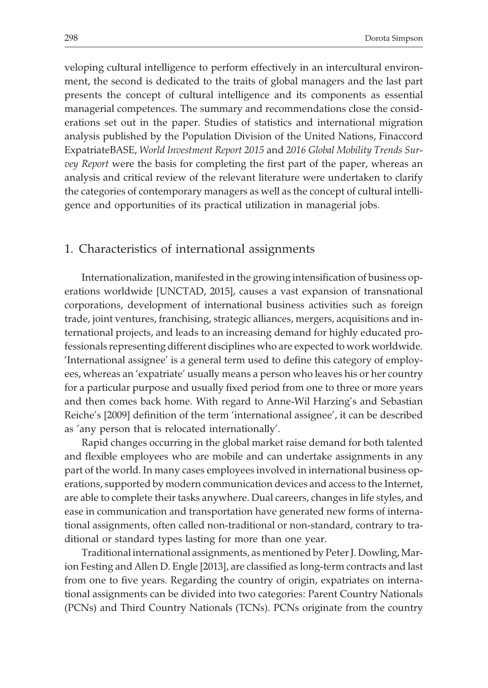veloping cultural intelligence to perform effectively in an intercultural environment, the second is dedicated to the traits of global managers and the last part presents the concept of cultural intelligence and its components as essential managerial competences. The summary and recommendations close the considerations set out in the paper. Studies of statistics and international migration analysis published by the Population Division of the United Nations, Finaccord ExpatriateBASE, *World Investment Report 2015* and *2016 Global Mobility Trends Survey Report* were the basis for completing the first part of the paper, whereas an analysis and critical review of the relevant literature were undertaken to clarify the categories of contemporary managers as well as the concept of cultural intelligence and opportunities of its practical utilization in managerial jobs.

#### 1. Characteristics of international assignments

Internationalization, manifested in the growing intensification of business operations worldwide [UNCTAD, 2015], causes a vast expansion of transnational corporations, development of international business activities such as foreign trade, joint ventures, franchising, strategic alliances, mergers, acquisitions and international projects, and leads to an increasing demand for highly educated professionals representing different disciplines who are expected to work worldwide. 'International assignee' is a general term used to define this category of employees, whereas an 'expatriate' usually means a person who leaves his or her country for a particular purpose and usually fixed period from one to three or more years and then comes back home. With regard to Anne-Wil Harzing's and Sebastian Reiche's [2009] definition of the term 'international assignee', it can be described as 'any person that is relocated internationally'.

Rapid changes occurring in the global market raise demand for both talented and flexible employees who are mobile and can undertake assignments in any part of the world. In many cases employees involved in international business operations, supported by modern communication devices and access to the Internet, are able to complete their tasks anywhere. Dual careers, changes in life styles, and ease in communication and transportation have generated new forms of international assignments, often called non-traditional or non-standard, contrary to traditional or standard types lasting for more than one year.

Traditional international assignments, as mentioned by Peter J. Dowling, Marion Festing and Allen D. Engle [2013], are classified as long-term contracts and last from one to five years. Regarding the country of origin, expatriates on international assignments can be divided into two categories: Parent Country Nationals (PCNs) and Third Country Nationals (TCNs). PCNs originate from the country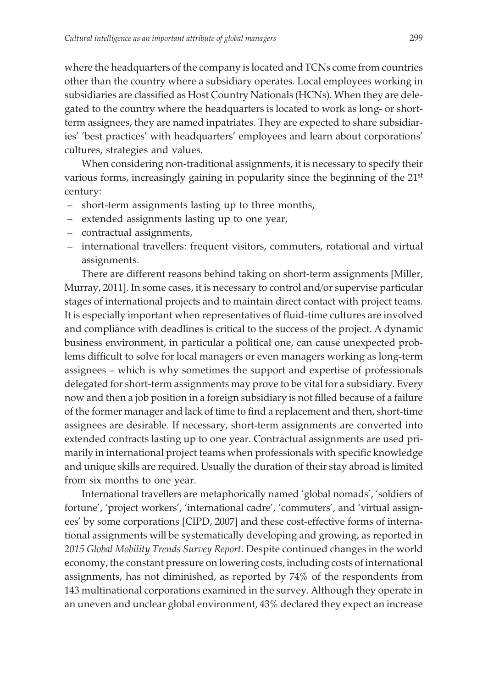where the headquarters of the company is located and TCNs come from countries other than the country where a subsidiary operates. Local employees working in subsidiaries are classified as Host Country Nationals (HCNs). When they are delegated to the country where the headquarters is located to work as long- or shortterm assignees, they are named inpatriates. They are expected to share subsidiaries' 'best practices' with headquarters' employees and learn about corporations' cultures, strategies and values.

When considering non-traditional assignments, it is necessary to specify their various forms, increasingly gaining in popularity since the beginning of the 21<sup>st</sup> century:

- short-term assignments lasting up to three months,
- extended assignments lasting up to one year,
- contractual assignments,
- international travellers: frequent visitors, commuters, rotational and virtual assignments.

There are different reasons behind taking on short-term assignments [Miller, Murray, 2011]. In some cases, it is necessary to control and/or supervise particular stages of international projects and to maintain direct contact with project teams. It is especially important when representatives of fluid-time cultures are involved and compliance with deadlines is critical to the success of the project. A dynamic business environment, in particular a political one, can cause unexpected problems difficult to solve for local managers or even managers working as long-term assignees – which is why sometimes the support and expertise of professionals delegated for short-term assignments may prove to be vital for a subsidiary. Every now and then a job position in a foreign subsidiary is not filled because of a failure of the former manager and lack of time to find a replacement and then, short-time assignees are desirable. If necessary, short-term assignments are converted into extended contracts lasting up to one year. Contractual assignments are used primarily in international project teams when professionals with specific knowledge and unique skills are required. Usually the duration of their stay abroad is limited from six months to one year.

International travellers are metaphorically named 'global nomads', 'soldiers of fortune', 'project workers', 'international cadre', 'commuters', and 'virtual assignees' by some corporations [CIPD, 2007] and these cost-effective forms of international assignments will be systematically developing and growing, as reported in *2015 Global Mobility Trends Survey Report*. Despite continued changes in the world economy, the constant pressure on lowering costs, including costs of international assignments, has not diminished, as reported by 74% of the respondents from 143 multinational corporations examined in the survey. Although they operate in an uneven and unclear global environment, 43% declared they expect an increase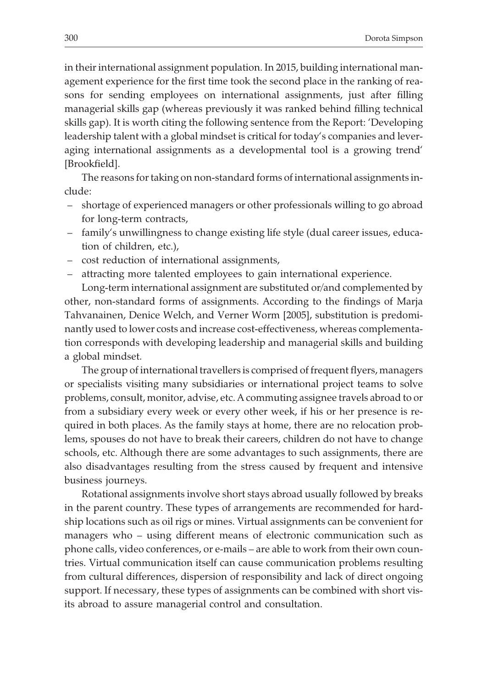in their international assignment population. In 2015, building international management experience for the first time took the second place in the ranking of reasons for sending employees on international assignments, just after filling managerial skills gap (whereas previously it was ranked behind filling technical skills gap). It is worth citing the following sentence from the Report: 'Developing leadership talent with a global mindset is critical for today's companies and leveraging international assignments as a developmental tool is a growing trend' [Brookfield].

The reasons for taking on non-standard forms of international assignments include:

- shortage of experienced managers or other professionals willing to go abroad for long-term contracts,
- family's unwillingness to change existing life style (dual career issues, education of children, etc.),
- cost reduction of international assignments,
- attracting more talented employees to gain international experience.

Long-term international assignment are substituted or/and complemented by other, non-standard forms of assignments. According to the findings of Marja Tahvanainen, Denice Welch, and Verner Worm [2005], substitution is predominantly used to lower costs and increase cost-effectiveness, whereas complementation corresponds with developing leadership and managerial skills and building a global mindset.

The group of international travellers is comprised of frequent flyers, managers or specialists visiting many subsidiaries or international project teams to solve problems, consult, monitor, advise, etc. A commuting assignee travels abroad to or from a subsidiary every week or every other week, if his or her presence is required in both places. As the family stays at home, there are no relocation problems, spouses do not have to break their careers, children do not have to change schools, etc. Although there are some advantages to such assignments, there are also disadvantages resulting from the stress caused by frequent and intensive business journeys.

Rotational assignments involve short stays abroad usually followed by breaks in the parent country. These types of arrangements are recommended for hardship locations such as oil rigs or mines. Virtual assignments can be convenient for managers who – using different means of electronic communication such as phone calls, video conferences, or e-mails – are able to work from their own countries. Virtual communication itself can cause communication problems resulting from cultural differences, dispersion of responsibility and lack of direct ongoing support. If necessary, these types of assignments can be combined with short visits abroad to assure managerial control and consultation.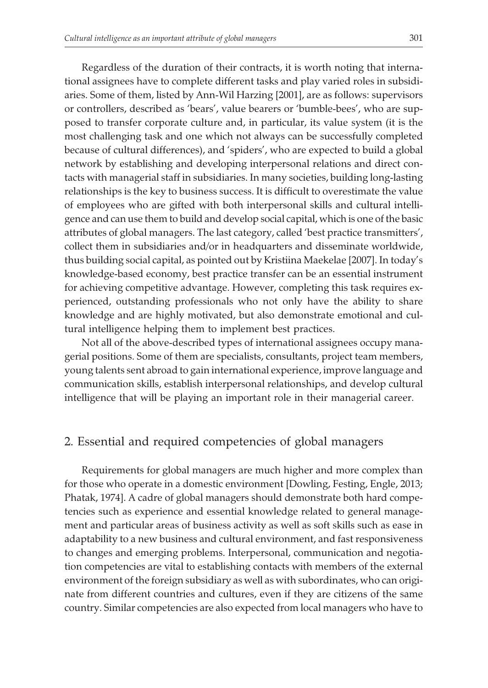Regardless of the duration of their contracts, it is worth noting that international assignees have to complete different tasks and play varied roles in subsidiaries. Some of them, listed by Ann-Wil Harzing [2001], are as follows: supervisors or controllers, described as 'bears', value bearers or 'bumble-bees', who are supposed to transfer corporate culture and, in particular, its value system (it is the most challenging task and one which not always can be successfully completed because of cultural differences), and 'spiders', who are expected to build a global network by establishing and developing interpersonal relations and direct contacts with managerial staff in subsidiaries. In many societies, building long-lasting relationships is the key to business success. It is difficult to overestimate the value of employees who are gifted with both interpersonal skills and cultural intelligence and can use them to build and develop social capital, which is one of the basic attributes of global managers. The last category, called 'best practice transmitters', collect them in subsidiaries and/or in headquarters and disseminate worldwide, thus building social capital, as pointed out by Kristiina Maekelae [2007]. In today's knowledge-based economy, best practice transfer can be an essential instrument for achieving competitive advantage. However, completing this task requires experienced, outstanding professionals who not only have the ability to share knowledge and are highly motivated, but also demonstrate emotional and cultural intelligence helping them to implement best practices.

Not all of the above-described types of international assignees occupy managerial positions. Some of them are specialists, consultants, project team members, young talents sent abroad to gain international experience, improve language and communication skills, establish interpersonal relationships, and develop cultural intelligence that will be playing an important role in their managerial career.

#### 2. Essential and required competencies of global managers

Requirements for global managers are much higher and more complex than for those who operate in a domestic environment [Dowling, Festing, Engle, 2013; Phatak, 1974]. A cadre of global managers should demonstrate both hard competencies such as experience and essential knowledge related to general management and particular areas of business activity as well as soft skills such as ease in adaptability to a new business and cultural environment, and fast responsiveness to changes and emerging problems. Interpersonal, communication and negotiation competencies are vital to establishing contacts with members of the external environment of the foreign subsidiary as well as with subordinates, who can originate from different countries and cultures, even if they are citizens of the same country. Similar competencies are also expected from local managers who have to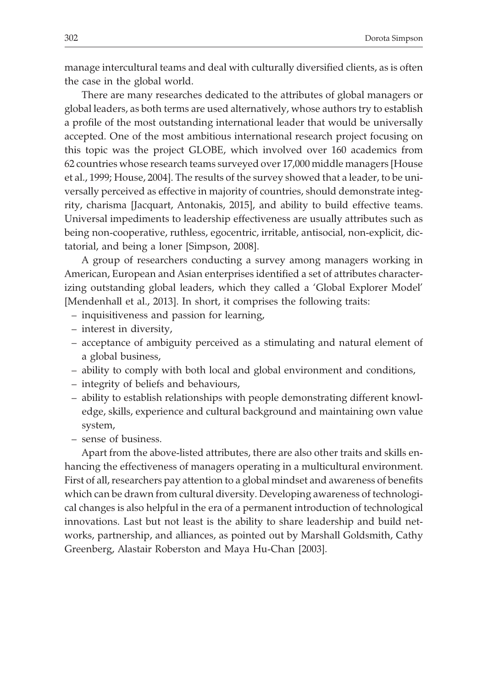manage intercultural teams and deal with culturally diversified clients, as is often the case in the global world.

There are many researches dedicated to the attributes of global managers or global leaders, as both terms are used alternatively, whose authors try to establish a profile of the most outstanding international leader that would be universally accepted. One of the most ambitious international research project focusing on this topic was the project GLOBE, which involved over 160 academics from 62 countries whose research teams surveyed over 17,000 middle managers [House et al., 1999; House, 2004]. The results of the survey showed that a leader, to be universally perceived as effective in majority of countries, should demonstrate integrity, charisma [Jacquart, Antonakis, 2015], and ability to build effective teams. Universal impediments to leadership effectiveness are usually attributes such as being non-cooperative, ruthless, egocentric, irritable, antisocial, non-explicit, dictatorial, and being a loner [Simpson, 2008].

A group of researchers conducting a survey among managers working in American, European and Asian enterprises identified a set of attributes characterizing outstanding global leaders, which they called a 'Global Explorer Model' [Mendenhall et al., 2013]. In short, it comprises the following traits:

- inquisitiveness and passion for learning,
- interest in diversity,
- acceptance of ambiguity perceived as a stimulating and natural element of a global business,
- ability to comply with both local and global environment and conditions,
- integrity of beliefs and behaviours,
- ability to establish relationships with people demonstrating different knowledge, skills, experience and cultural background and maintaining own value system,
- sense of business.

Apart from the above-listed attributes, there are also other traits and skills enhancing the effectiveness of managers operating in a multicultural environment. First of all, researchers pay attention to a global mindset and awareness of benefits which can be drawn from cultural diversity. Developing awareness of technological changes is also helpful in the era of a permanent introduction of technological innovations. Last but not least is the ability to share leadership and build networks, partnership, and alliances, as pointed out by Marshall Goldsmith, Cathy Greenberg, Alastair Roberston and Maya Hu-Chan [2003].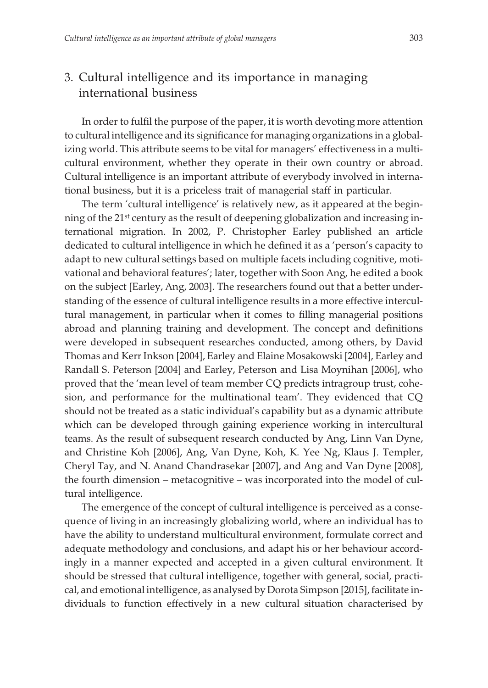## 3. Cultural intelligence and its importance in managing international business

In order to fulfil the purpose of the paper, it is worth devoting more attention to cultural intelligence and its significance for managing organizations in a globalizing world. This attribute seems to be vital for managers' effectiveness in a multicultural environment, whether they operate in their own country or abroad. Cultural intelligence is an important attribute of everybody involved in international business, but it is a priceless trait of managerial staff in particular.

The term 'cultural intelligence' is relatively new, as it appeared at the beginning of the 21<sup>st</sup> century as the result of deepening globalization and increasing international migration. In 2002, P. Christopher Earley published an article dedicated to cultural intelligence in which he defined it as a 'person's capacity to adapt to new cultural settings based on multiple facets including cognitive, motivational and behavioral features'; later, together with Soon Ang, he edited a book on the subject [Earley, Ang, 2003]. The researchers found out that a better understanding of the essence of cultural intelligence results in a more effective intercultural management, in particular when it comes to filling managerial positions abroad and planning training and development. The concept and definitions were developed in subsequent researches conducted, among others, by David Thomas and Kerr Inkson [2004], Earley and Elaine Mosakowski [2004], Earley and Randall S. Peterson [2004] and Earley, Peterson and Lisa Moynihan [2006], who proved that the 'mean level of team member CQ predicts intragroup trust, cohesion, and performance for the multinational team'. They evidenced that CQ should not be treated as a static individual's capability but as a dynamic attribute which can be developed through gaining experience working in intercultural teams. As the result of subsequent research conducted by Ang, Linn Van Dyne, and Christine Koh [2006], Ang, Van Dyne, Koh, K. Yee Ng, Klaus J. Templer, Cheryl Tay, and N. Anand Chandrasekar [2007], and Ang and Van Dyne [2008], the fourth dimension – metacognitive – was incorporated into the model of cultural intelligence.

The emergence of the concept of cultural intelligence is perceived as a consequence of living in an increasingly globalizing world, where an individual has to have the ability to understand multicultural environment, formulate correct and adequate methodology and conclusions, and adapt his or her behaviour accordingly in a manner expected and accepted in a given cultural environment. It should be stressed that cultural intelligence, together with general, social, practical, and emotional intelligence, as analysed by Dorota Simpson [2015], facilitate individuals to function effectively in a new cultural situation characterised by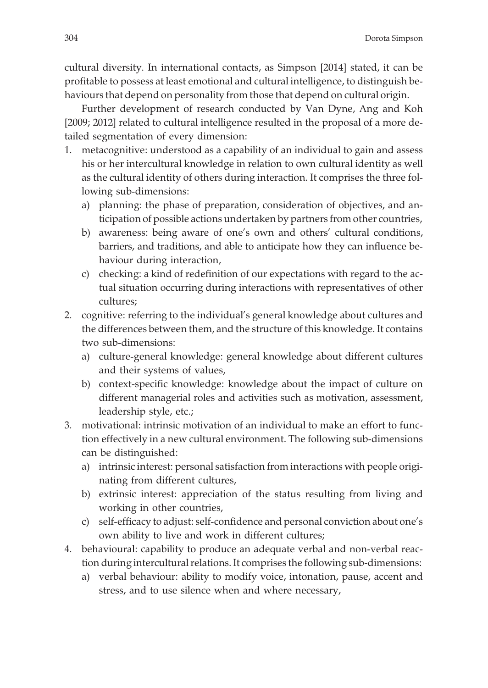cultural diversity. In international contacts, as Simpson [2014] stated, it can be profitable to possess at least emotional and cultural intelligence, to distinguish behaviours that depend on personality from those that depend on cultural origin.

Further development of research conducted by Van Dyne, Ang and Koh [2009; 2012] related to cultural intelligence resulted in the proposal of a more detailed segmentation of every dimension:

- 1. metacognitive: understood as a capability of an individual to gain and assess his or her intercultural knowledge in relation to own cultural identity as well as the cultural identity of others during interaction. It comprises the three following sub-dimensions:
	- a) planning: the phase of preparation, consideration of objectives, and anticipation of possible actions undertaken by partners from other countries,
	- b) awareness: being aware of one's own and others' cultural conditions, barriers, and traditions, and able to anticipate how they can influence behaviour during interaction,
	- c) checking: a kind of redefinition of our expectations with regard to the actual situation occurring during interactions with representatives of other cultures;
- 2. cognitive: referring to the individual's general knowledge about cultures and the differences between them, and the structure of this knowledge. It contains two sub-dimensions:
	- a) culture-general knowledge: general knowledge about different cultures and their systems of values,
	- b) context-specific knowledge: knowledge about the impact of culture on different managerial roles and activities such as motivation, assessment, leadership style, etc.;
- 3. motivational: intrinsic motivation of an individual to make an effort to function effectively in a new cultural environment. The following sub-dimensions can be distinguished:
	- a) intrinsic interest: personal satisfaction from interactions with people originating from different cultures,
	- b) extrinsic interest: appreciation of the status resulting from living and working in other countries,
	- c) self-efficacy to adjust: self-confidence and personal conviction about one's own ability to live and work in different cultures;
- 4. behavioural: capability to produce an adequate verbal and non-verbal reaction during intercultural relations. It comprises the following sub-dimensions:
	- a) verbal behaviour: ability to modify voice, intonation, pause, accent and stress, and to use silence when and where necessary,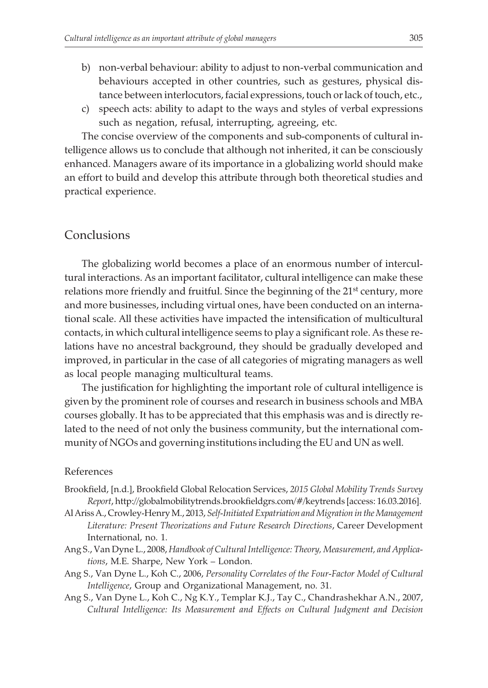- b) non-verbal behaviour: ability to adjust to non-verbal communication and behaviours accepted in other countries, such as gestures, physical distance between interlocutors, facial expressions, touch or lack of touch, etc.,
- c) speech acts: ability to adapt to the ways and styles of verbal expressions such as negation, refusal, interrupting, agreeing, etc.

The concise overview of the components and sub-components of cultural intelligence allows us to conclude that although not inherited, it can be consciously enhanced. Managers aware of its importance in a globalizing world should make an effort to build and develop this attribute through both theoretical studies and practical experience.

### Conclusions

The globalizing world becomes a place of an enormous number of intercultural interactions. As an important facilitator, cultural intelligence can make these relations more friendly and fruitful. Since the beginning of the  $21<sup>st</sup>$  century, more and more businesses, including virtual ones, have been conducted on an international scale. All these activities have impacted the intensification of multicultural contacts, in which cultural intelligence seems to play a significant role. As these relations have no ancestral background, they should be gradually developed and improved, in particular in the case of all categories of migrating managers as well as local people managing multicultural teams.

The justification for highlighting the important role of cultural intelligence is given by the prominent role of courses and research in business schools and MBA courses globally. It has to be appreciated that this emphasis was and is directly related to the need of not only the business community, but the international community of NGOs and governing institutions including the EU and UN as well.

#### References

- Brookfield, [n.d.], Brookfield Global Relocation Services, *2015 Global Mobility Trends Survey Report*, http://globalmobilitytrends.brookfieldgrs.com/#/keytrends [access: 16.03.2016].
- Al Ariss A., Crowley-Henry M., 2013, *Self-Initiated Expatriation and Migration in the Management Literature: Present Theorizations and Future Research Directions*, Career Development International, no. 1.
- Ang S., Van Dyne L., 2008, *Handbook of Cultural Intelligence: Theory, Measurement, and Applications*, M.E. Sharpe, New York – London.
- Ang S., Van Dyne L., Koh C., 2006, *Personality Correlates of the Four-Factor Model of* C*ultural Intelligence*, Group and Organizational Management, no. 31.
- Ang S., Van Dyne L., Koh C., Ng K.Y., Templar K.J., Tay C., Chandrashekhar A.N., 2007, *Cultural Intelligence: Its Measurement and Effects on Cultural Judgment and Decision*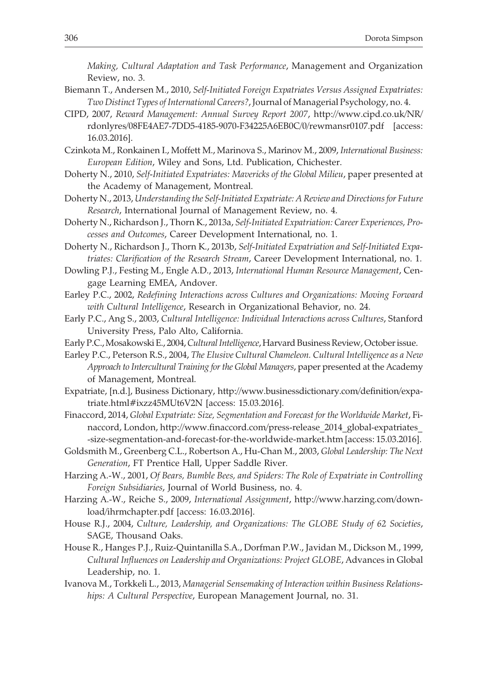*Making, Cultural Adaptation and Task Performance*, Management and Organization Review, no. 3.

- Biemann T., Andersen M., 2010, *Self-Initiated Foreign Expatriates Versus Assigned Expatriates: Two Distinct Types of International Careers?*, Journal of Managerial Psychology, no. 4.
- CIPD, 2007, *Reward Management: Annual Survey Report 2007*, http://www.cipd.co.uk/NR/ rdonlyres/08FE4AE7-7DD5-4185-9070-F34225A6EB0C/0/rewmansr0107.pdf [access: 16.03.2016].
- Czinkota M., Ronkainen I., Moffett M., Marinova S., Marinov M., 2009, *International Business: European Edition*, Wiley and Sons, Ltd. Publication, Chichester.
- Doherty N., 2010, *Self-Initiated Expatriates: Mavericks of the Global Milieu*, paper presented at the Academy of Management, Montreal.
- Doherty N., 2013, *Understanding the Self-Initiated Expatriate: A Review and Directions for Future Research*, International Journal of Management Review, no. 4.
- Doherty N., Richardson J., Thorn K., 2013a, *Self-Initiated Expatriation: Career Experiences, Processes and Outcomes*, Career Development International, no. 1.

Doherty N., Richardson J., Thorn K., 2013b, *Self-Initiated Expatriation and Self-Initiated Expatriates: Clarification of the Research Stream*, Career Development International, no. 1.

- Dowling P.J., Festing M., Engle A.D., 2013, *International Human Resource Management*, Cengage Learning EMEA, Andover.
- Earley P.C., 2002, *Redefining Interactions across Cultures and Organizations: Moving Forward with Cultural Intelligence*, Research in Organizational Behavior, no. 24.
- Early P.C., Ang S., 2003, *Cultural Intelligence: Individual Interactions across Cultures*, Stanford University Press, Palo Alto, California.
- Early P.C.,Mosakowski E., 2004,*Cultural Intelligence*, Harvard Business Review, October issue.
- Earley P.C., Peterson R.S., 2004, *The Elusive Cultural Chameleon. Cultural Intelligence as a New Approach to Intercultural Training for the Global Managers*, paper presented at the Academy of Management, Montreal.
- Expatriate, [n.d.], Business Dictionary, http://www.businessdictionary.com/definition/expatriate.html#ixzz45MUt6V2N [access: 15.03.2016].
- Finaccord, 2014, *Global Expatriate: Size, Segmentation and Forecast for the Worldwide Market*, Finaccord, London, http://www.finaccord.com/press-release\_2014\_global-expatriates\_ -size-segmentation-and-forecast-for-the-worldwide-market.htm [access: 15.03.2016].
- Goldsmith M., Greenberg C.L., Robertson A., Hu-Chan M., 2003, *Global Leadership: The Next Generation*, FT Prentice Hall, Upper Saddle River.
- Harzing A.-W., 2001, *Of Bears, Bumble Bees, and Spiders: The Role of Expatriate in Controlling Foreign Subsidiaries*, Journal of World Business, no. 4.
- Harzing A.-W., Reiche S., 2009, *International Assignment*, http://www.harzing.com/download/ihrmchapter.pdf [access: 16.03.2016].
- House R.J., 2004, *Culture, Leadership, and Organizations: The GLOBE Study of 62 Societies*, SAGE, Thousand Oaks.
- House R., Hanges P.J., Ruiz-Quintanilla S.A., Dorfman P.W., Javidan M., Dickson M., 1999, *Cultural Influences on Leadership and Organizations: Project GLOBE*, Advances in Global Leadership, no. 1.
- Ivanova M., Torkkeli L., 2013, *Managerial Sensemaking of Interaction within Business Relationships: A Cultural Perspective*, European Management Journal, no. 31.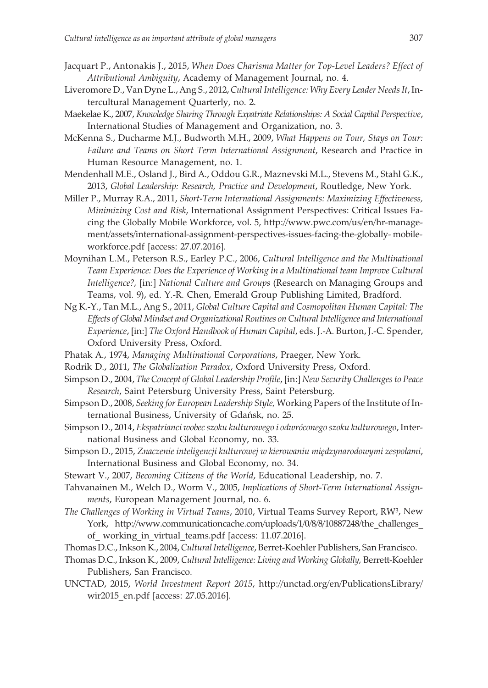- Jacquart P., Antonakis J., 2015, *When Does Charisma Matter for Top-Level Leaders? Effect of Attributional Ambiguity*, Academy of Management Journal, no. 4.
- Liveromore D., Van Dyne L., Ang S., 2012, *Cultural Intelligence: Why Every Leader Needs It*, Intercultural Management Quarterly, no. 2.
- Maekelae K., 2007, *Knowledge Sharing Through Expatriate Relationships: A Social Capital Perspective*, International Studies of Management and Organization, no. 3.
- McKenna S., Ducharme M.J., Budworth M.H., 2009, *What Happens on Tour, Stays on Tour: Failure and Teams on Short Term International Assignment*, Research and Practice in Human Resource Management, no. 1.
- Mendenhall M.E., Osland J., Bird A., Oddou G.R., Maznevski M.L., Stevens M., Stahl G.K., 2013, *Global Leadership: Research, Practice and Development*, Routledge, New York.
- Miller P., Murray R.A., 2011, *Short-Term International Assignments: Maximizing Effectiveness, Minimizing Cost and Risk*, International Assignment Perspectives: Critical Issues Facing the Globally Mobile Workforce, vol. 5, http://www.pwc.com/us/en/hr-management/assets/international-assignment-perspectives-issues-facing-the-globally- mobileworkforce.pdf [access: 27.07.2016].
- Moynihan L.M., Peterson R.S., Earley P.C., 2006, *Cultural Intelligence and the Multinational Team Experience: Does the Experience of Working in a Multinational team Improve Cultural Intelligence?,* [in:] *National Culture and Groups* (Research on Managing Groups and Teams, vol. 9), ed. Y.-R. Chen, Emerald Group Publishing Limited, Bradford.
- Ng K.-Y., Tan M.L., Ang S., 2011, *Global Culture Capital and Cosmopolitan Human Capital: The Effects of Global Mindset and Organizational Routines on Cultural Intelligence and International Experience*, [in:] *The Oxford Handbook of Human Capital*, eds. J.-A. Burton, J.-C. Spender, Oxford University Press, Oxford.
- Phatak A., 1974, *Managing Multinational Corporations*, Praeger, New York.
- Rodrik D., 2011, *The Globalization Paradox*, Oxford University Press, Oxford.
- Simpson D., 2004, *The Concept of Global Leadership Profile*, [in:] *New Security Challenges to Peace Research*, Saint Petersburg University Press, Saint Petersburg.
- Simpson D., 2008, *Seeking for European Leadership Style,* Working Papers of the Institute of International Business, University of Gdañsk, no. 25.
- Simpson D., 2014, *Ekspatrianci wobec szoku kulturowego i odwróconego szoku kulturowego*, International Business and Global Economy, no. 33.
- Simpson D., 2015, *Znaczenie inteligencji kulturowej w kierowaniu międzynarodowymi zespołami*, International Business and Global Economy, no. 34.
- Stewart V., 2007, *Becoming Citizens of the World*, Educational Leadership, no. 7.
- Tahvanainen M., Welch D., Worm V., 2005, *Implications of Short-Term International Assignments*, European Management Journal, no. 6.
- *The Challenges of Working in Virtual Teams*, 2010, Virtual Teams Survey Report, RW3, New York, http://www.communicationcache.com/uploads/1/0/8/8/10887248/the\_challenges of working in virtual teams.pdf [access: 11.07.2016].
- Thomas D.C., Inkson K., 2004,*Cultural Intelligence*, Berret-Koehler Publishers, San Francisco.
- Thomas D.C., Inkson K., 2009, *Cultural Intelligence: Living and Working Globally,* Berrett-Koehler Publishers, San Francisco.
- UNCTAD, 2015, *World Investment Report 2015*, http://unctad.org/en/PublicationsLibrary/ wir2015\_en.pdf [access: 27.05.2016].